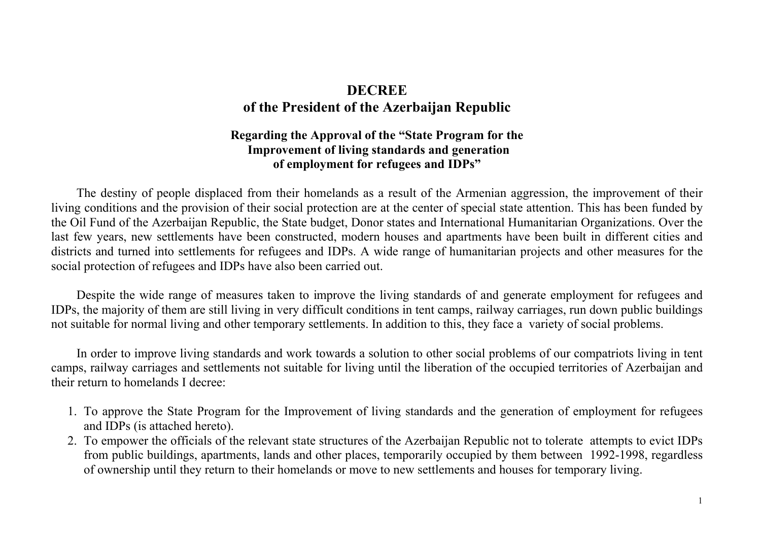## **DECREE of the President of the Azerbaijan Republic**

## **Regarding the Approval of the "State Program for the Improvement of living standards and generation of employment for refugees and IDPs"**

 The destiny of people displaced from their homelands as a result of the Armenian aggression, the improvement of their living conditions and the provision of their social protection are at the center of special state attention. This has been funded by the Oil Fund of the Azerbaijan Republic, the State budget, Donor states and International Humanitarian Organizations. Over the last few years, new settlements have been constructed, modern houses and apartments have been built in different cities and districts and turned into settlements for refugees and IDPs. A wide range of humanitarian projects and other measures for the social protection of refugees and IDPs have also been carried out.

Despite the wide range of measures taken to improve the living standards of and generate employment for refugees and IDPs, the majority of them are still living in very difficult conditions in tent camps, railway carriages, run down public buildings not suitable for normal living and other temporary settlements. In addition to this, they face a variety of social problems.

 In order to improve living standards and work towards a solution to other social problems of our compatriots living in tent camps, railway carriages and settlements not suitable for living until the liberation of the occupied territories of Azerbaijan and their return to homelands I decree:

- 1. To approve the State Program for the Improvement of living standards and the generation of employment for refugees and IDPs (is attached hereto).
- 2. To empower the officials of the relevant state structures of the Azerbaijan Republic not to tolerate attempts to evict IDPs from public buildings, apartments, lands and other places, temporarily occupied by them between 1992-1998, regardless of ownership until they return to their homelands or move to new settlements and houses for temporary living.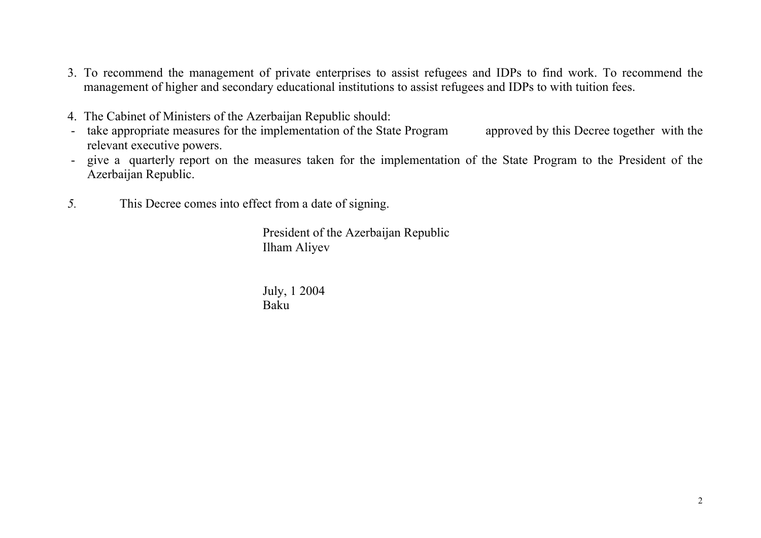- 3. To recommend the management of private enterprises to assist refugees and IDPs to find work. To recommend the management of higher and secondary educational institutions to assist refugees and IDPs to with tuition fees.
- 4. The Cabinet of Ministers of the Azerbaijan Republic should:
- take appropriate measures for the implementation of the State Program approved by this Decree together with the relevant executive powers.
- give a quarterly report on the measures taken for the implementation of the State Program to the President of the Azerbaijan Republic.
- *5.* This Decree comes into effect from a date of signing.

President of the Azerbaijan Republic Ilham Aliyev

July, 1 2004 Baku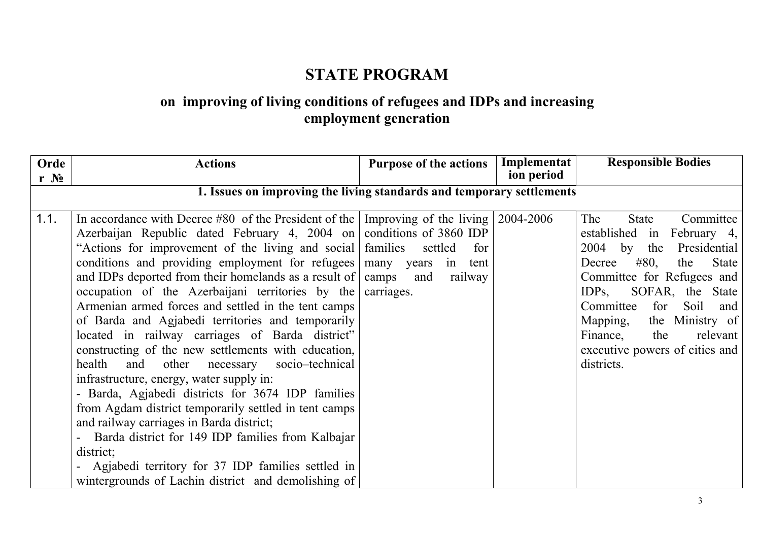## **STATE PROGRAM**

## **on improving of living conditions of refugees and IDPs and increasing employment generation**

| Orde             | <b>Actions</b>                                                                                                                                                                                                                                                                                                                                                                                                                                                                                                                                                                                                                                                                                                                                                                                                                                                                                                                                                                                                                                                                                     | <b>Purpose of the actions</b>                  | Implementat | <b>Responsible Bodies</b>                                                                                                                                                                                                                                                                                                                    |
|------------------|----------------------------------------------------------------------------------------------------------------------------------------------------------------------------------------------------------------------------------------------------------------------------------------------------------------------------------------------------------------------------------------------------------------------------------------------------------------------------------------------------------------------------------------------------------------------------------------------------------------------------------------------------------------------------------------------------------------------------------------------------------------------------------------------------------------------------------------------------------------------------------------------------------------------------------------------------------------------------------------------------------------------------------------------------------------------------------------------------|------------------------------------------------|-------------|----------------------------------------------------------------------------------------------------------------------------------------------------------------------------------------------------------------------------------------------------------------------------------------------------------------------------------------------|
| $r \mathbf{N_2}$ |                                                                                                                                                                                                                                                                                                                                                                                                                                                                                                                                                                                                                                                                                                                                                                                                                                                                                                                                                                                                                                                                                                    |                                                | ion period  |                                                                                                                                                                                                                                                                                                                                              |
|                  | 1. Issues on improving the living standards and temporary settlements                                                                                                                                                                                                                                                                                                                                                                                                                                                                                                                                                                                                                                                                                                                                                                                                                                                                                                                                                                                                                              |                                                |             |                                                                                                                                                                                                                                                                                                                                              |
| 1.1.             | In accordance with Decree #80 of the President of the Improving of the living $\vert$ 2004-2006<br>Azerbaijan Republic dated February 4, 2004 on conditions of 3860 IDP<br>"Actions for improvement of the living and social families"<br>conditions and providing employment for refugees   many years in tent<br>and IDPs deported from their homelands as a result of camps<br>occupation of the Azerbaijani territories by the<br>Armenian armed forces and settled in the tent camps<br>of Barda and Agjabedi territories and temporarily<br>located in railway carriages of Barda district"<br>constructing of the new settlements with education,<br>health<br>and<br>other necessary socio-technical<br>infrastructure, energy, water supply in:<br>- Barda, Agjabedi districts for 3674 IDP families<br>from Agdam district temporarily settled in tent camps<br>and railway carriages in Barda district;<br>Barda district for 149 IDP families from Kalbajar<br>district;<br>- Agjabedi territory for 37 IDP families settled in<br>wintergrounds of Lachin district and demolishing of | settled<br>for<br>and<br>railway<br>carriages. |             | Committee<br>The<br>State<br>established in<br>February 4,<br>$2004$ by the<br>Presidential<br>State<br>#80,<br>the<br>Decree<br>Committee for Refugees and<br>SOFAR, the State<br>$IDPs$ ,<br>Committee<br>for<br>Soil<br>and<br>the Ministry of<br>Mapping,<br>Finance,<br>relevant<br>the<br>executive powers of cities and<br>districts. |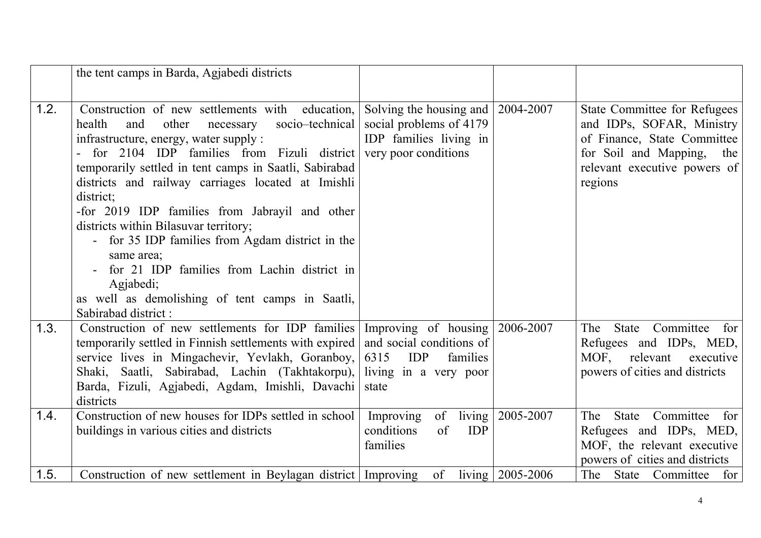|      | the tent camps in Barda, Agjabedi districts                                                                                                                                                                                                                                                                                                                                                                                                                                                                                                                                                                                                              |                                                                                                                                              |                        |                                                                                                                                                                            |
|------|----------------------------------------------------------------------------------------------------------------------------------------------------------------------------------------------------------------------------------------------------------------------------------------------------------------------------------------------------------------------------------------------------------------------------------------------------------------------------------------------------------------------------------------------------------------------------------------------------------------------------------------------------------|----------------------------------------------------------------------------------------------------------------------------------------------|------------------------|----------------------------------------------------------------------------------------------------------------------------------------------------------------------------|
| 1.2. | Construction of new settlements with education,<br>socio-technical<br>health<br>and<br>other<br>necessary<br>infrastructure, energy, water supply :<br>- for 2104 IDP families from Fizuli district very poor conditions<br>temporarily settled in tent camps in Saatli, Sabirabad<br>districts and railway carriages located at Imishli<br>district;<br>-for 2019 IDP families from Jabrayil and other<br>districts within Bilasuvar territory;<br>- for 35 IDP families from Agdam district in the<br>same area;<br>for 21 IDP families from Lachin district in<br>Agjabedi;<br>as well as demolishing of tent camps in Saatli,<br>Sabirabad district: | Solving the housing and<br>social problems of 4179<br>IDP families living in                                                                 | 2004-2007              | <b>State Committee for Refugees</b><br>and IDPs, SOFAR, Ministry<br>of Finance, State Committee<br>for Soil and Mapping,<br>the<br>relevant executive powers of<br>regions |
| 1.3. | Construction of new settlements for IDP families<br>temporarily settled in Finnish settlements with expired<br>service lives in Mingachevir, Yevlakh, Goranboy,<br>Shaki, Saatli, Sabirabad, Lachin (Takhtakorpu),<br>Barda, Fizuli, Agjabedi, Agdam, Imishli, Davachi<br>districts                                                                                                                                                                                                                                                                                                                                                                      | Improving of housing $\vert 2006-2007 \vert$<br>and social conditions of<br>6315<br><b>IDP</b><br>families<br>living in a very poor<br>state |                        | State Committee<br>The<br>for<br>Refugees and IDPs, MED,<br>MOF, relevant<br>executive<br>powers of cities and districts                                                   |
| 1.4. | Construction of new houses for IDPs settled in school<br>buildings in various cities and districts                                                                                                                                                                                                                                                                                                                                                                                                                                                                                                                                                       | Improving<br>of<br>conditions<br>of<br><b>IDP</b><br>families                                                                                | living   2005-2007     | Committee<br>The<br>State<br>for<br>Refugees and IDPs, MED,<br>MOF, the relevant executive<br>powers of cities and districts                                               |
| 1.5. | Construction of new settlement in Beylagan district   Improving                                                                                                                                                                                                                                                                                                                                                                                                                                                                                                                                                                                          | of                                                                                                                                           | living   $2005 - 2006$ | The State Committee for                                                                                                                                                    |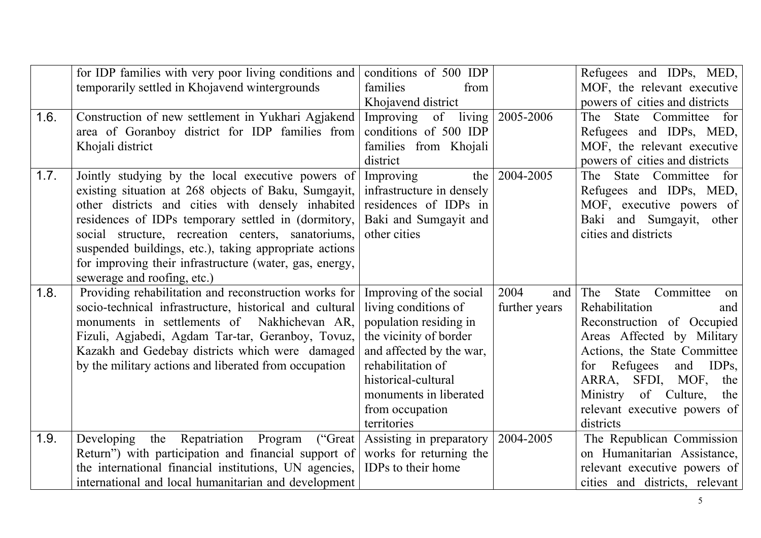|      | for IDP families with very poor living conditions and   | conditions of 500 IDP     |               | Refugees and IDPs, MED,         |
|------|---------------------------------------------------------|---------------------------|---------------|---------------------------------|
|      | temporarily settled in Khojavend wintergrounds          | families<br>from          |               | MOF, the relevant executive     |
|      |                                                         | Khojavend district        |               | powers of cities and districts  |
| 1.6. | Construction of new settlement in Yukhari Agjakend      | living<br>Improving<br>of | 2005-2006     | State Committee for<br>The      |
|      | area of Goranboy district for IDP families from         | conditions of 500 IDP     |               | Refugees and IDPs, MED,         |
|      | Khojali district                                        | families from Khojali     |               | MOF, the relevant executive     |
|      |                                                         | district                  |               | powers of cities and districts  |
| 1.7. | Jointly studying by the local executive powers of       | Improving<br>the          | 2004-2005     | State Committee<br>The<br>for   |
|      | existing situation at 268 objects of Baku, Sumgayit,    | infrastructure in densely |               | Refugees and IDPs, MED,         |
|      | other districts and cities with densely inhabited       | residences of IDPs in     |               | MOF, executive powers of        |
|      | residences of IDPs temporary settled in (dormitory,     | Baki and Sumgayit and     |               | Baki and Sumgayit, other        |
|      | social structure, recreation centers, sanatoriums,      | other cities              |               | cities and districts            |
|      | suspended buildings, etc.), taking appropriate actions  |                           |               |                                 |
|      | for improving their infrastructure (water, gas, energy, |                           |               |                                 |
|      | sewerage and roofing, etc.)                             |                           |               |                                 |
| 1.8. | Providing rehabilitation and reconstruction works for   | Improving of the social   | 2004<br>and   | Committee<br>The<br>State<br>on |
|      | socio-technical infrastructure, historical and cultural | living conditions of      | further years | Rehabilitation<br>and           |
|      | monuments in settlements of Nakhichevan AR,             | population residing in    |               | Reconstruction of Occupied      |
|      | Fizuli, Agjabedi, Agdam Tar-tar, Geranboy, Tovuz,       | the vicinity of border    |               | Areas Affected by Military      |
|      | Kazakh and Gedebay districts which were damaged         | and affected by the war,  |               | Actions, the State Committee    |
|      | by the military actions and liberated from occupation   | rehabilitation of         |               | for Refugees<br>and<br>$IDPs$ , |
|      |                                                         | historical-cultural       |               | ARRA, SFDI, MOF, the            |
|      |                                                         | monuments in liberated    |               | of Culture,<br>Ministry<br>the  |
|      |                                                         | from occupation           |               | relevant executive powers of    |
|      |                                                         | territories               |               | districts                       |
| 1.9. | Repatriation Program<br>("Great<br>Developing<br>the    | Assisting in preparatory  | 2004-2005     | The Republican Commission       |
|      | Return") with participation and financial support of    | works for returning the   |               | on Humanitarian Assistance,     |
|      | the international financial institutions, UN agencies,  | IDPs to their home        |               | relevant executive powers of    |
|      | international and local humanitarian and development    |                           |               | cities and districts, relevant  |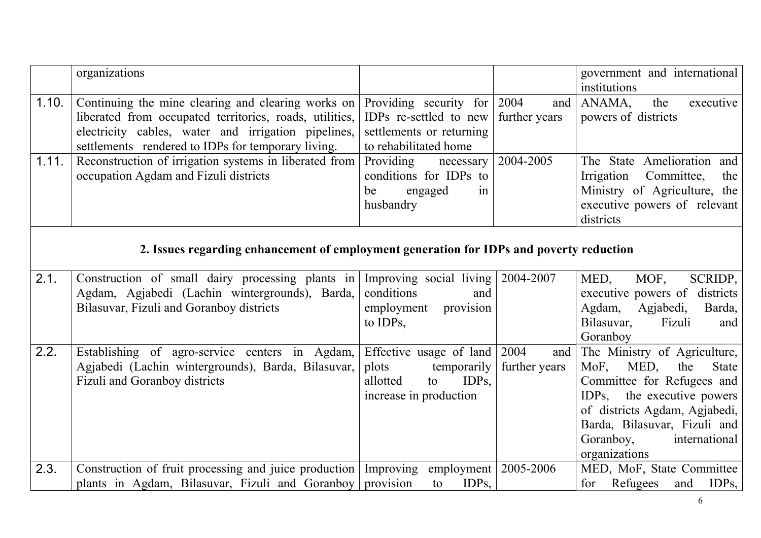|       | organizations                                                                                                                                                                                                              |                                                                                                                 |                              | government and international<br>institutions                                                                                                                                                                                                          |
|-------|----------------------------------------------------------------------------------------------------------------------------------------------------------------------------------------------------------------------------|-----------------------------------------------------------------------------------------------------------------|------------------------------|-------------------------------------------------------------------------------------------------------------------------------------------------------------------------------------------------------------------------------------------------------|
| 1.10. | Continuing the mine clearing and clearing works on<br>liberated from occupated territories, roads, utilities,<br>electricity cables, water and irrigation pipelines,<br>settlements rendered to IDPs for temporary living. | Providing security for $2004$<br>IDPs re-settled to new<br>settlements or returning<br>to rehabilitated home    | and<br>further years         | ANAMA,<br>the<br>executive<br>powers of districts                                                                                                                                                                                                     |
| 1.11. | Reconstruction of irrigation systems in liberated from<br>occupation Agdam and Fizuli districts                                                                                                                            | Providing<br>necessary<br>conditions for IDPs to<br>engaged<br>be<br>in<br>husbandry                            | 2004-2005                    | The State Amelioration and<br>Irrigation<br>Committee,<br>the<br>Ministry of Agriculture, the<br>executive powers of relevant<br>districts                                                                                                            |
|       | 2. Issues regarding enhancement of employment generation for IDPs and poverty reduction                                                                                                                                    |                                                                                                                 |                              |                                                                                                                                                                                                                                                       |
| 2.1.  | Construction of small dairy processing plants in<br>Agdam, Agjabedi (Lachin wintergrounds), Barda,<br>Bilasuvar, Fizuli and Goranboy districts                                                                             | Improving social living<br>conditions<br>and<br>employment<br>provision<br>to IDPs,                             | 2004-2007                    | MOF,<br>SCRIDP,<br>MED,<br>executive powers of districts<br>Agdam, Agjabedi,<br>Barda,<br>Bilasuvar,<br>Fizuli<br>and<br>Goranboy                                                                                                                     |
| 2.2.  | Establishing of agro-service centers in Agdam,<br>Agjabedi (Lachin wintergrounds), Barda, Bilasuvar,<br>Fizuli and Goranboy districts                                                                                      | Effective usage of land<br>plots<br>temporarily<br>IDP <sub>s</sub><br>allotted<br>to<br>increase in production | 2004<br>and<br>further years | The Ministry of Agriculture,<br>MoF,<br>MED,<br>the<br><b>State</b><br>Committee for Refugees and<br>$IDPs$ ,<br>the executive powers<br>of districts Agdam, Agjabedi,<br>Barda, Bilasuvar, Fizuli and<br>Goranboy,<br>international<br>organizations |
| 2.3.  | Construction of fruit processing and juice production   Improving<br>plants in Agdam, Bilasuvar, Fizuli and Goranboy provision                                                                                             | employment<br>$IDPs$ ,<br>to                                                                                    | 2005-2006                    | MED, MoF, State Committee<br>for Refugees<br>$IDPs$ ,<br>and                                                                                                                                                                                          |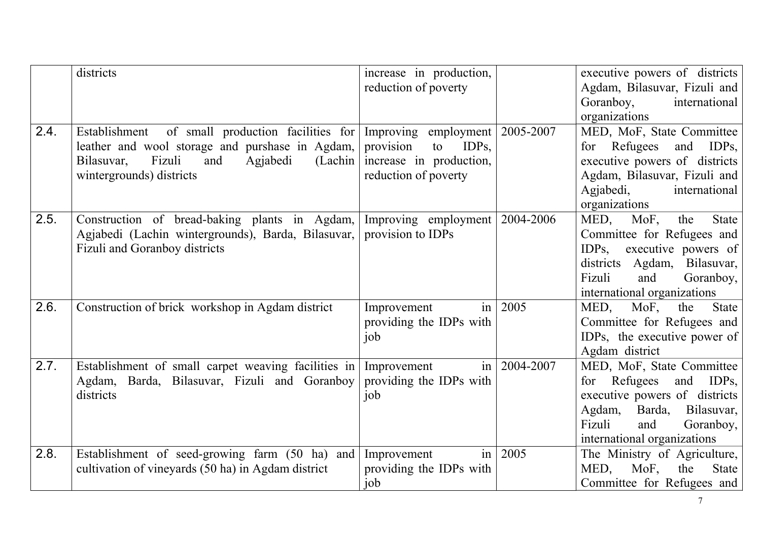|      | districts                                                                                                                                                                                | increase in production,<br>reduction of poverty                                                                              |                | executive powers of districts<br>Agdam, Bilasuvar, Fizuli and<br>Goranboy,<br>international<br>organizations                                                                                     |
|------|------------------------------------------------------------------------------------------------------------------------------------------------------------------------------------------|------------------------------------------------------------------------------------------------------------------------------|----------------|--------------------------------------------------------------------------------------------------------------------------------------------------------------------------------------------------|
| 2.4. | of small production facilities for<br>Establishment<br>leather and wool storage and purshase in Agdam,<br>Fizuli<br>and<br>Agjabedi<br>(Lachin<br>Bilasuvar,<br>wintergrounds) districts | Improving employment   2005-2007<br>IDP <sub>s</sub> ,<br>provision<br>to<br>increase in production,<br>reduction of poverty |                | MED, MoF, State Committee<br>for Refugees<br>and<br>$IDPs$ ,<br>executive powers of districts<br>Agdam, Bilasuvar, Fizuli and<br>Agjabedi,<br>international<br>organizations                     |
| 2.5. | Construction of bread-baking plants in Agdam,<br>Agjabedi (Lachin wintergrounds), Barda, Bilasuvar,<br>Fizuli and Goranboy districts                                                     | Improving employment<br>provision to IDPs                                                                                    | 2004-2006      | MED,<br>MoF,<br>the<br><b>State</b><br>Committee for Refugees and<br>executive powers of<br>$IDPs$ ,<br>districts Agdam, Bilasuvar,<br>Fizuli<br>Goranboy,<br>and<br>international organizations |
| 2.6. | Construction of brick workshop in Agdam district                                                                                                                                         | $\left  \text{in} \right $<br>Improvement<br>providing the IDPs with<br>job                                                  | 2005           | MoF,<br>State<br>MED,<br>the<br>Committee for Refugees and<br>IDPs, the executive power of<br>Agdam district                                                                                     |
| 2.7. | Establishment of small carpet weaving facilities in<br>Agdam, Barda, Bilasuvar, Fizuli and Goranboy<br>districts                                                                         | Improvement<br>providing the IDPs with<br>job                                                                                | in   2004-2007 | MED, MoF, State Committee<br>for Refugees<br>$IDPs$ ,<br>and<br>executive powers of districts<br>Agdam,<br>Barda, Bilasuvar,<br>Fizuli<br>and<br>Goranboy,<br>international organizations        |
| 2.8. | Establishment of seed-growing farm (50 ha) and<br>cultivation of vineyards (50 ha) in Agdam district                                                                                     | in <sub>1</sub><br>Improvement<br>providing the IDPs with<br>job                                                             | 2005           | The Ministry of Agriculture,<br>MED,<br><b>State</b><br>MoF,<br>the<br>Committee for Refugees and                                                                                                |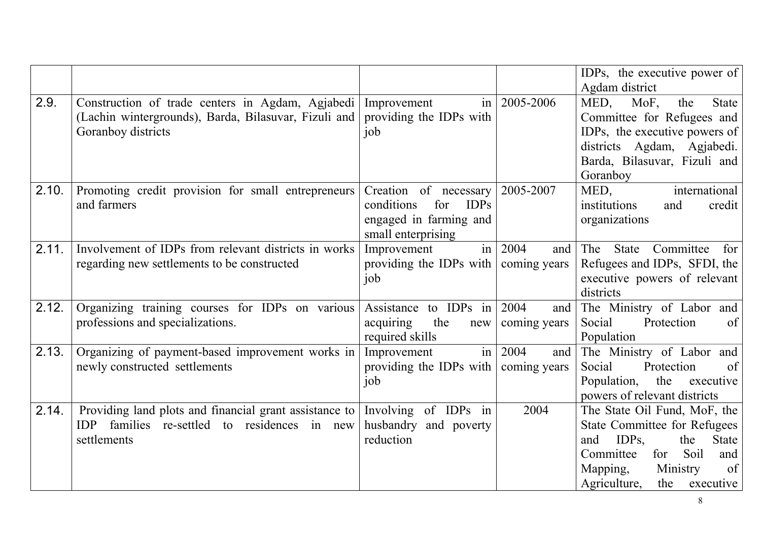|       |                                                                                                                                            |                                                                                                           |                             | IDPs, the executive power of<br>Agdam district                                                                                                                                                                          |
|-------|--------------------------------------------------------------------------------------------------------------------------------------------|-----------------------------------------------------------------------------------------------------------|-----------------------------|-------------------------------------------------------------------------------------------------------------------------------------------------------------------------------------------------------------------------|
| 2.9.  | Construction of trade centers in Agdam, Agjabedi Improvement<br>(Lachin wintergrounds), Barda, Bilasuvar, Fizuli and<br>Goranboy districts | in<br>providing the IDPs with<br>job                                                                      | 2005-2006                   | MED,<br>MoF,<br>the<br><b>State</b><br>Committee for Refugees and<br>IDPs, the executive powers of<br>districts Agdam, Agjabedi.<br>Barda, Bilasuvar, Fizuli and<br>Goranboy                                            |
| 2.10. | Promoting credit provision for small entrepreneurs<br>and farmers                                                                          | Creation of necessary<br>conditions<br><b>IDPs</b><br>for<br>engaged in farming and<br>small enterprising | 2005-2007                   | MED,<br>international<br>institutions<br>and<br>credit<br>organizations                                                                                                                                                 |
| 2.11. | Involvement of IDPs from relevant districts in works<br>regarding new settlements to be constructed                                        | in<br>Improvement<br>providing the IDPs with<br>job                                                       | 2004<br>and<br>coming years | The<br><b>State</b><br>Committee<br>for<br>Refugees and IDPs, SFDI, the<br>executive powers of relevant<br>districts                                                                                                    |
| 2.12. | Organizing training courses for IDPs on various<br>professions and specializations.                                                        | Assistance to IDPs in<br>the<br>acquiring<br>new<br>required skills                                       | 2004<br>and<br>coming years | The Ministry of Labor and<br>Protection<br>Social<br>of<br>Population                                                                                                                                                   |
| 2.13. | Organizing of payment-based improvement works in<br>newly constructed settlements                                                          | in<br>Improvement<br>providing the IDPs with<br>job                                                       | 2004<br>and<br>coming years | The Ministry of Labor and<br>Protection<br>of<br>Social<br>Population, the<br>executive<br>powers of relevant districts                                                                                                 |
| 2.14. | Providing land plots and financial grant assistance to<br>families re-settled to residences in new<br><b>IDP</b><br>settlements            | Involving of IDPs in<br>husbandry and poverty<br>reduction                                                | 2004                        | The State Oil Fund, MoF, the<br><b>State Committee for Refugees</b><br>IDP <sub>s</sub><br>and<br>the<br><b>State</b><br>Committee<br>for<br>Soil<br>and<br>of<br>Mapping,<br>Ministry<br>Agriculture,<br>the executive |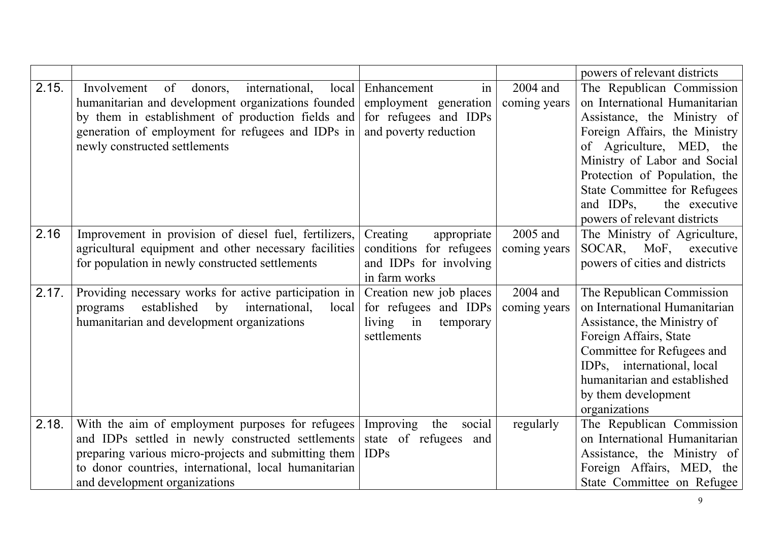|       |                                                         |                            |              | powers of relevant districts        |
|-------|---------------------------------------------------------|----------------------------|--------------|-------------------------------------|
| 2.15. | international,<br>Involvement<br>of<br>donors.<br>local | Enhancement<br>in          | 2004 and     | The Republican Commission           |
|       | humanitarian and development organizations founded      | employment generation      | coming years | on International Humanitarian       |
|       | by them in establishment of production fields and       | for refugees and IDPs      |              | Assistance, the Ministry of         |
|       | generation of employment for refugees and IDPs in       | and poverty reduction      |              | Foreign Affairs, the Ministry       |
|       | newly constructed settlements                           |                            |              | of Agriculture, MED, the            |
|       |                                                         |                            |              | Ministry of Labor and Social        |
|       |                                                         |                            |              | Protection of Population, the       |
|       |                                                         |                            |              | <b>State Committee for Refugees</b> |
|       |                                                         |                            |              | and IDPs,<br>the executive          |
|       |                                                         |                            |              | powers of relevant districts        |
| 2.16  | Improvement in provision of diesel fuel, fertilizers,   | Creating<br>appropriate    | 2005 and     | The Ministry of Agriculture,        |
|       | agricultural equipment and other necessary facilities   | conditions for refugees    | coming years | SOCAR, MoF, executive               |
|       | for population in newly constructed settlements         | and IDPs for involving     |              | powers of cities and districts      |
|       |                                                         | in farm works              |              |                                     |
| 2.17. | Providing necessary works for active participation in   | Creation new job places    | 2004 and     | The Republican Commission           |
|       | established by<br>international,<br>local<br>programs   | for refugees and IDPs      | coming years | on International Humanitarian       |
|       | humanitarian and development organizations              | living in<br>temporary     |              | Assistance, the Ministry of         |
|       |                                                         | settlements                |              | Foreign Affairs, State              |
|       |                                                         |                            |              | Committee for Refugees and          |
|       |                                                         |                            |              | IDPs, international, local          |
|       |                                                         |                            |              | humanitarian and established        |
|       |                                                         |                            |              | by them development                 |
|       |                                                         |                            |              | organizations                       |
| 2.18. | With the aim of employment purposes for refugees        | Improving<br>social<br>the | regularly    | The Republican Commission           |
|       | and IDPs settled in newly constructed settlements       | state of refugees<br>and   |              | on International Humanitarian       |
|       | preparing various micro-projects and submitting them    | <b>IDPs</b>                |              | Assistance, the Ministry of         |
|       | to donor countries, international, local humanitarian   |                            |              | Foreign Affairs, MED, the           |
|       | and development organizations                           |                            |              | State Committee on Refugee          |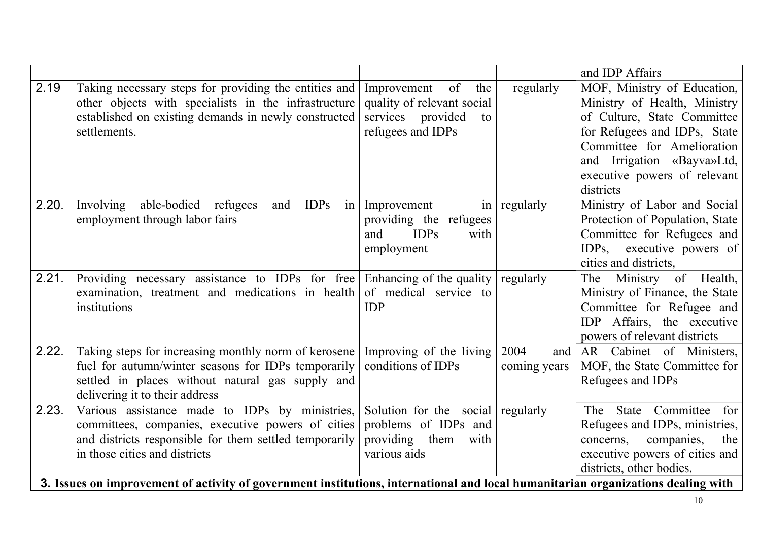| 2.19<br>MOF, Ministry of Education,<br>Taking necessary steps for providing the entities and<br>of<br>regularly<br>Improvement<br>the<br>other objects with specialists in the infrastructure<br>Ministry of Health, Ministry<br>quality of relevant social<br>established on existing demands in newly constructed<br>services provided<br>of Culture, State Committee<br>to<br>refugees and IDPs<br>for Refugees and IDPs, State<br>settlements.<br>Committee for Amelioration<br>and Irrigation «Bayva»Ltd,<br>executive powers of relevant<br>districts<br>2.20.<br>Ministry of Labor and Social<br>Involving able-bodied refugees<br><b>IDPs</b><br>$\frac{1}{2}$<br>Improvement<br>regularly<br>and<br>in<br>employment through labor fairs<br>Protection of Population, State<br>providing the refugees<br>Committee for Refugees and<br><b>IDPs</b><br>and<br>with<br>IDPs, executive powers of<br>employment<br>cities and districts,<br>2.21.<br>Providing necessary assistance to IDPs for free<br>Enhancing of the quality<br>The Ministry of Health,<br>regularly<br>of medical service to<br>Ministry of Finance, the State<br>examination, treatment and medications in health<br>Committee for Refugee and<br>institutions<br><b>IDP</b><br>IDP Affairs, the executive<br>powers of relevant districts<br>Taking steps for increasing monthly norm of kerosene<br>2.22.<br>Improving of the living<br>2004<br>AR Cabinet of Ministers,<br>and<br>fuel for autumn/winter seasons for IDPs temporarily<br>conditions of IDPs<br>MOF, the State Committee for<br>coming years<br>settled in places without natural gas supply and<br>Refugees and IDPs<br>delivering it to their address<br>2.23.<br>Various assistance made to IDPs by ministries,<br>Solution for the social regularly<br>The State Committee<br>for<br>problems of IDPs and<br>committees, companies, executive powers of cities<br>Refugees and IDPs, ministries,<br>and districts responsible for them settled temporarily<br>providing them with<br>companies,<br>concerns,<br>the<br>executive powers of cities and<br>in those cities and districts<br>various aids |  |  | and IDP Affairs          |
|----------------------------------------------------------------------------------------------------------------------------------------------------------------------------------------------------------------------------------------------------------------------------------------------------------------------------------------------------------------------------------------------------------------------------------------------------------------------------------------------------------------------------------------------------------------------------------------------------------------------------------------------------------------------------------------------------------------------------------------------------------------------------------------------------------------------------------------------------------------------------------------------------------------------------------------------------------------------------------------------------------------------------------------------------------------------------------------------------------------------------------------------------------------------------------------------------------------------------------------------------------------------------------------------------------------------------------------------------------------------------------------------------------------------------------------------------------------------------------------------------------------------------------------------------------------------------------------------------------------------------------------------------------------------------------------------------------------------------------------------------------------------------------------------------------------------------------------------------------------------------------------------------------------------------------------------------------------------------------------------------------------------------------------------------------------------------------------------------------------------------------------------------------|--|--|--------------------------|
|                                                                                                                                                                                                                                                                                                                                                                                                                                                                                                                                                                                                                                                                                                                                                                                                                                                                                                                                                                                                                                                                                                                                                                                                                                                                                                                                                                                                                                                                                                                                                                                                                                                                                                                                                                                                                                                                                                                                                                                                                                                                                                                                                          |  |  |                          |
|                                                                                                                                                                                                                                                                                                                                                                                                                                                                                                                                                                                                                                                                                                                                                                                                                                                                                                                                                                                                                                                                                                                                                                                                                                                                                                                                                                                                                                                                                                                                                                                                                                                                                                                                                                                                                                                                                                                                                                                                                                                                                                                                                          |  |  |                          |
|                                                                                                                                                                                                                                                                                                                                                                                                                                                                                                                                                                                                                                                                                                                                                                                                                                                                                                                                                                                                                                                                                                                                                                                                                                                                                                                                                                                                                                                                                                                                                                                                                                                                                                                                                                                                                                                                                                                                                                                                                                                                                                                                                          |  |  |                          |
|                                                                                                                                                                                                                                                                                                                                                                                                                                                                                                                                                                                                                                                                                                                                                                                                                                                                                                                                                                                                                                                                                                                                                                                                                                                                                                                                                                                                                                                                                                                                                                                                                                                                                                                                                                                                                                                                                                                                                                                                                                                                                                                                                          |  |  |                          |
|                                                                                                                                                                                                                                                                                                                                                                                                                                                                                                                                                                                                                                                                                                                                                                                                                                                                                                                                                                                                                                                                                                                                                                                                                                                                                                                                                                                                                                                                                                                                                                                                                                                                                                                                                                                                                                                                                                                                                                                                                                                                                                                                                          |  |  |                          |
|                                                                                                                                                                                                                                                                                                                                                                                                                                                                                                                                                                                                                                                                                                                                                                                                                                                                                                                                                                                                                                                                                                                                                                                                                                                                                                                                                                                                                                                                                                                                                                                                                                                                                                                                                                                                                                                                                                                                                                                                                                                                                                                                                          |  |  |                          |
|                                                                                                                                                                                                                                                                                                                                                                                                                                                                                                                                                                                                                                                                                                                                                                                                                                                                                                                                                                                                                                                                                                                                                                                                                                                                                                                                                                                                                                                                                                                                                                                                                                                                                                                                                                                                                                                                                                                                                                                                                                                                                                                                                          |  |  |                          |
|                                                                                                                                                                                                                                                                                                                                                                                                                                                                                                                                                                                                                                                                                                                                                                                                                                                                                                                                                                                                                                                                                                                                                                                                                                                                                                                                                                                                                                                                                                                                                                                                                                                                                                                                                                                                                                                                                                                                                                                                                                                                                                                                                          |  |  |                          |
|                                                                                                                                                                                                                                                                                                                                                                                                                                                                                                                                                                                                                                                                                                                                                                                                                                                                                                                                                                                                                                                                                                                                                                                                                                                                                                                                                                                                                                                                                                                                                                                                                                                                                                                                                                                                                                                                                                                                                                                                                                                                                                                                                          |  |  |                          |
|                                                                                                                                                                                                                                                                                                                                                                                                                                                                                                                                                                                                                                                                                                                                                                                                                                                                                                                                                                                                                                                                                                                                                                                                                                                                                                                                                                                                                                                                                                                                                                                                                                                                                                                                                                                                                                                                                                                                                                                                                                                                                                                                                          |  |  |                          |
|                                                                                                                                                                                                                                                                                                                                                                                                                                                                                                                                                                                                                                                                                                                                                                                                                                                                                                                                                                                                                                                                                                                                                                                                                                                                                                                                                                                                                                                                                                                                                                                                                                                                                                                                                                                                                                                                                                                                                                                                                                                                                                                                                          |  |  |                          |
|                                                                                                                                                                                                                                                                                                                                                                                                                                                                                                                                                                                                                                                                                                                                                                                                                                                                                                                                                                                                                                                                                                                                                                                                                                                                                                                                                                                                                                                                                                                                                                                                                                                                                                                                                                                                                                                                                                                                                                                                                                                                                                                                                          |  |  |                          |
|                                                                                                                                                                                                                                                                                                                                                                                                                                                                                                                                                                                                                                                                                                                                                                                                                                                                                                                                                                                                                                                                                                                                                                                                                                                                                                                                                                                                                                                                                                                                                                                                                                                                                                                                                                                                                                                                                                                                                                                                                                                                                                                                                          |  |  |                          |
|                                                                                                                                                                                                                                                                                                                                                                                                                                                                                                                                                                                                                                                                                                                                                                                                                                                                                                                                                                                                                                                                                                                                                                                                                                                                                                                                                                                                                                                                                                                                                                                                                                                                                                                                                                                                                                                                                                                                                                                                                                                                                                                                                          |  |  |                          |
|                                                                                                                                                                                                                                                                                                                                                                                                                                                                                                                                                                                                                                                                                                                                                                                                                                                                                                                                                                                                                                                                                                                                                                                                                                                                                                                                                                                                                                                                                                                                                                                                                                                                                                                                                                                                                                                                                                                                                                                                                                                                                                                                                          |  |  |                          |
|                                                                                                                                                                                                                                                                                                                                                                                                                                                                                                                                                                                                                                                                                                                                                                                                                                                                                                                                                                                                                                                                                                                                                                                                                                                                                                                                                                                                                                                                                                                                                                                                                                                                                                                                                                                                                                                                                                                                                                                                                                                                                                                                                          |  |  |                          |
|                                                                                                                                                                                                                                                                                                                                                                                                                                                                                                                                                                                                                                                                                                                                                                                                                                                                                                                                                                                                                                                                                                                                                                                                                                                                                                                                                                                                                                                                                                                                                                                                                                                                                                                                                                                                                                                                                                                                                                                                                                                                                                                                                          |  |  |                          |
|                                                                                                                                                                                                                                                                                                                                                                                                                                                                                                                                                                                                                                                                                                                                                                                                                                                                                                                                                                                                                                                                                                                                                                                                                                                                                                                                                                                                                                                                                                                                                                                                                                                                                                                                                                                                                                                                                                                                                                                                                                                                                                                                                          |  |  |                          |
|                                                                                                                                                                                                                                                                                                                                                                                                                                                                                                                                                                                                                                                                                                                                                                                                                                                                                                                                                                                                                                                                                                                                                                                                                                                                                                                                                                                                                                                                                                                                                                                                                                                                                                                                                                                                                                                                                                                                                                                                                                                                                                                                                          |  |  |                          |
|                                                                                                                                                                                                                                                                                                                                                                                                                                                                                                                                                                                                                                                                                                                                                                                                                                                                                                                                                                                                                                                                                                                                                                                                                                                                                                                                                                                                                                                                                                                                                                                                                                                                                                                                                                                                                                                                                                                                                                                                                                                                                                                                                          |  |  |                          |
|                                                                                                                                                                                                                                                                                                                                                                                                                                                                                                                                                                                                                                                                                                                                                                                                                                                                                                                                                                                                                                                                                                                                                                                                                                                                                                                                                                                                                                                                                                                                                                                                                                                                                                                                                                                                                                                                                                                                                                                                                                                                                                                                                          |  |  |                          |
|                                                                                                                                                                                                                                                                                                                                                                                                                                                                                                                                                                                                                                                                                                                                                                                                                                                                                                                                                                                                                                                                                                                                                                                                                                                                                                                                                                                                                                                                                                                                                                                                                                                                                                                                                                                                                                                                                                                                                                                                                                                                                                                                                          |  |  |                          |
|                                                                                                                                                                                                                                                                                                                                                                                                                                                                                                                                                                                                                                                                                                                                                                                                                                                                                                                                                                                                                                                                                                                                                                                                                                                                                                                                                                                                                                                                                                                                                                                                                                                                                                                                                                                                                                                                                                                                                                                                                                                                                                                                                          |  |  |                          |
|                                                                                                                                                                                                                                                                                                                                                                                                                                                                                                                                                                                                                                                                                                                                                                                                                                                                                                                                                                                                                                                                                                                                                                                                                                                                                                                                                                                                                                                                                                                                                                                                                                                                                                                                                                                                                                                                                                                                                                                                                                                                                                                                                          |  |  |                          |
|                                                                                                                                                                                                                                                                                                                                                                                                                                                                                                                                                                                                                                                                                                                                                                                                                                                                                                                                                                                                                                                                                                                                                                                                                                                                                                                                                                                                                                                                                                                                                                                                                                                                                                                                                                                                                                                                                                                                                                                                                                                                                                                                                          |  |  |                          |
|                                                                                                                                                                                                                                                                                                                                                                                                                                                                                                                                                                                                                                                                                                                                                                                                                                                                                                                                                                                                                                                                                                                                                                                                                                                                                                                                                                                                                                                                                                                                                                                                                                                                                                                                                                                                                                                                                                                                                                                                                                                                                                                                                          |  |  | districts, other bodies. |
| 3. Issues on improvement of activity of government institutions, international and local humanitarian organizations dealing with                                                                                                                                                                                                                                                                                                                                                                                                                                                                                                                                                                                                                                                                                                                                                                                                                                                                                                                                                                                                                                                                                                                                                                                                                                                                                                                                                                                                                                                                                                                                                                                                                                                                                                                                                                                                                                                                                                                                                                                                                         |  |  |                          |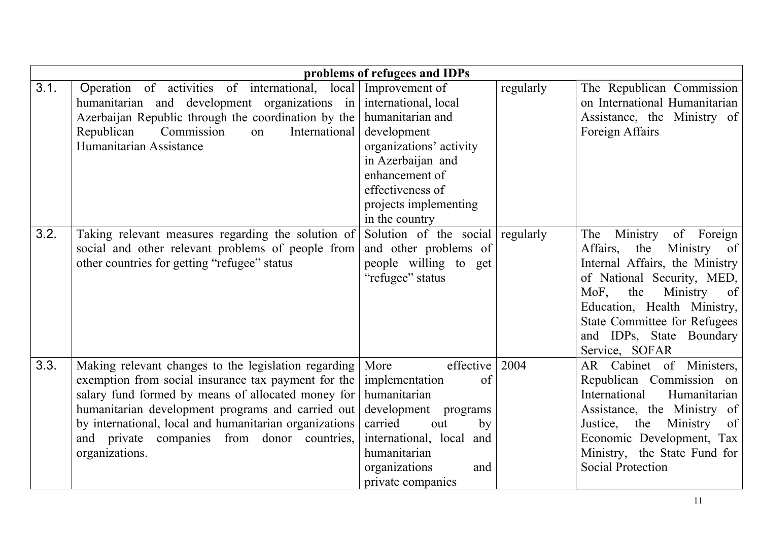|      |                                                                                                                                                                                                                                                                                                                                                   | problems of refugees and IDPs                                                                                                                                                                              |           |                                                                                                                                                                                                                                                                                         |
|------|---------------------------------------------------------------------------------------------------------------------------------------------------------------------------------------------------------------------------------------------------------------------------------------------------------------------------------------------------|------------------------------------------------------------------------------------------------------------------------------------------------------------------------------------------------------------|-----------|-----------------------------------------------------------------------------------------------------------------------------------------------------------------------------------------------------------------------------------------------------------------------------------------|
| 3.1. | Operation of activities of international, local<br>humanitarian and development organizations in<br>Azerbaijan Republic through the coordination by the<br>Commission<br>International<br>Republican<br>on<br>Humanitarian Assistance                                                                                                             | Improvement of<br>international, local<br>humanitarian and<br>development<br>organizations' activity<br>in Azerbaijan and<br>enhancement of<br>effectiveness of<br>projects implementing<br>in the country | regularly | The Republican Commission<br>on International Humanitarian<br>Assistance, the Ministry of<br>Foreign Affairs                                                                                                                                                                            |
| 3.2. | Taking relevant measures regarding the solution of<br>social and other relevant problems of people from<br>other countries for getting "refugee" status                                                                                                                                                                                           | Solution of the social regularly<br>and other problems of<br>people willing to get<br>"refugee" status                                                                                                     |           | The<br>Ministry<br>Foreign<br>of<br>Affairs,<br>the<br>Ministry of<br>Internal Affairs, the Ministry<br>of National Security, MED,<br>MoF.<br>the<br>Ministry<br>of<br>Education, Health Ministry,<br><b>State Committee for Refugees</b><br>and IDPs, State Boundary<br>Service, SOFAR |
| 3.3. | Making relevant changes to the legislation regarding<br>exemption from social insurance tax payment for the<br>salary fund formed by means of allocated money for<br>humanitarian development programs and carried out<br>by international, local and humanitarian organizations<br>and private companies from donor countries,<br>organizations. | effective<br>More<br>implementation<br>of<br>humanitarian<br>development<br>programs<br>carried<br>out<br>by<br>international, local and<br>humanitarian<br>organizations<br>and<br>private companies      | 2004      | AR Cabinet of Ministers,<br>Republican Commission on<br>International<br>Humanitarian<br>Assistance, the Ministry of<br>the<br>Ministry<br>of<br>Justice,<br>Economic Development, Tax<br>Ministry, the State Fund for<br><b>Social Protection</b>                                      |